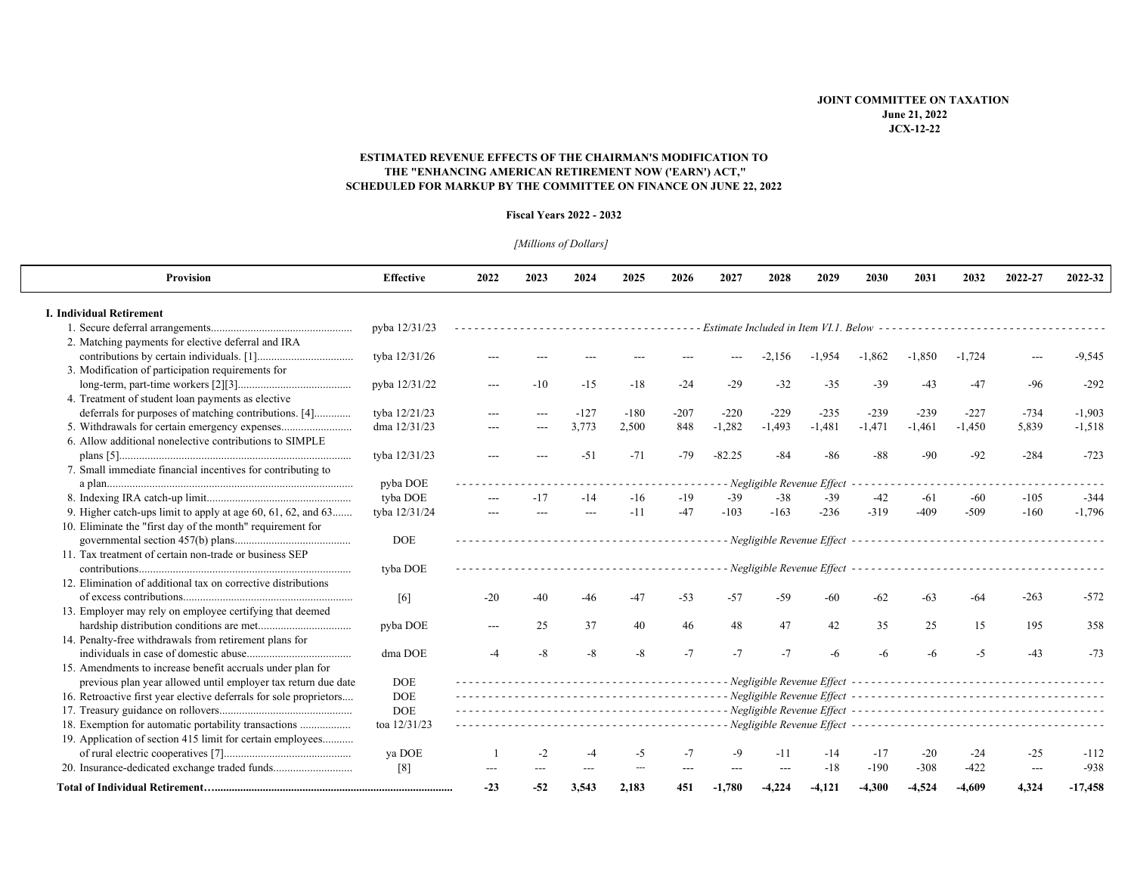### **SCHEDULED FOR MARKUP BY THE COMMITTEE ON FINANCE ON JUNE 22, 2022 ESTIMATED REVENUE EFFECTS OF THE CHAIRMAN'S MODIFICATION TO THE "ENHANCING AMERICAN RETIREMENT NOW ('EARN') ACT,"**

#### **Fiscal Years 2022 - 2032**

# *[Millions of Dollars]*

| <b>Provision</b>                                                   | <b>Effective</b>  | 2022                        | 2023  | 2024   | 2025   | 2026   | 2027                                                      | 2028           | 2029                                              | 2030     | 2031     | 2032                                                    | 2022-27        | 2022-32   |  |
|--------------------------------------------------------------------|-------------------|-----------------------------|-------|--------|--------|--------|-----------------------------------------------------------|----------------|---------------------------------------------------|----------|----------|---------------------------------------------------------|----------------|-----------|--|
| <b>I. Individual Retirement</b>                                    |                   |                             |       |        |        |        |                                                           |                |                                                   |          |          |                                                         |                |           |  |
|                                                                    | pyba 12/31/23     |                             |       |        |        |        | - Estimate Included in Item VI.1. Below ----------------- |                |                                                   |          |          |                                                         |                |           |  |
| 2. Matching payments for elective deferral and IRA                 |                   |                             |       |        |        |        |                                                           |                |                                                   |          |          |                                                         |                |           |  |
|                                                                    | tyba 12/31/26     | ---                         |       |        |        |        |                                                           | -2.156         | $-1,954$                                          | $-1,862$ | $-1,850$ | $-1.724$                                                |                | $-9,545$  |  |
| 3. Modification of participation requirements for                  |                   |                             |       |        |        |        |                                                           |                |                                                   |          |          |                                                         |                |           |  |
|                                                                    | pyba 12/31/22     | $---$                       | $-10$ | $-15$  | $-18$  | $-24$  | $-29$                                                     | $-32$          | $-35$                                             | $-39$    | $-43$    | $-47$                                                   | -96            | $-292$    |  |
| 4. Treatment of student loan payments as elective                  |                   |                             |       |        |        |        |                                                           |                |                                                   |          |          |                                                         |                |           |  |
| deferrals for purposes of matching contributions. [4]              | tyba 12/21/23     | ---                         |       | $-127$ | $-180$ | $-207$ | $-220$                                                    | $-229$         | $-235$                                            | $-239$   | $-239$   | $-227$                                                  | $-734$         | $-1,903$  |  |
| 5. Withdrawals for certain emergency expenses                      | dma 12/31/23      | ---                         |       | 3,773  | 2,500  | 848    | $-1,282$                                                  | $-1,493$       | $-1,481$                                          | $-1,471$ | $-1,461$ | $-1,450$                                                | 5,839          | $-1,518$  |  |
| 6. Allow additional nonelective contributions to SIMPLE            |                   |                             |       |        |        |        |                                                           |                |                                                   |          |          |                                                         |                |           |  |
|                                                                    | tyba 12/31/23     |                             |       | $-51$  | $-71$  | $-79$  | $-82.25$                                                  | $-84$          | $-86$                                             | -88      | $-90$    | $-92$                                                   | $-284$         | $-723$    |  |
| 7. Small immediate financial incentives for contributing to        |                   |                             |       |        |        |        |                                                           |                |                                                   |          |          |                                                         |                |           |  |
|                                                                    | pyba DOE          | - Negligible Revenue Effect |       |        |        |        |                                                           |                |                                                   |          |          |                                                         |                |           |  |
|                                                                    | tyba DOE          |                             | $-17$ | $-14$  | $-16$  | $-19$  | $-39$                                                     | $-38$          | $-39$                                             | $-42$    | $-61$    | -60                                                     | $-105$         | $-344$    |  |
| 9. Higher catch-ups limit to apply at age $60, 61, 62,$ and $63$   | tyba 12/31/24     | ---                         |       | ---    | $-11$  | $-47$  | $-103$                                                    | $-163$         | $-236$                                            | $-319$   | $-409$   | $-509$                                                  | $-160$         | $-1,796$  |  |
| 10. Eliminate the "first day of the month" requirement for         |                   |                             |       |        |        |        |                                                           |                |                                                   |          |          |                                                         |                |           |  |
|                                                                    | <b>DOE</b>        |                             |       |        |        |        |                                                           |                | - Negligible Revenue Effect --------------------- |          |          |                                                         |                |           |  |
| 11. Tax treatment of certain non-trade or business SEP             |                   |                             |       |        |        |        |                                                           |                |                                                   |          |          |                                                         |                |           |  |
|                                                                    | tyba DOE          |                             |       |        |        |        |                                                           |                | - Negligible Revenue Effect ----------------      |          |          |                                                         |                |           |  |
| 12. Elimination of additional tax on corrective distributions      |                   |                             |       |        |        |        |                                                           |                |                                                   |          |          |                                                         |                |           |  |
|                                                                    | [6]               | $-20$                       | $-40$ | -46    | $-47$  | $-53$  | -57                                                       | $-59$          | $-60$                                             | -62      | $-63$    | $-64$                                                   | $-263$         | $-572$    |  |
| 13. Employer may rely on employee certifying that deemed           |                   |                             |       |        |        |        |                                                           |                |                                                   |          |          |                                                         |                |           |  |
|                                                                    | pyba DOE          | $---$                       | 25    | 37     | 40     | 46     | 48                                                        | 47             | 42                                                | 35       | 25       | 15                                                      | 195            | 358       |  |
| 14. Penalty-free withdrawals from retirement plans for             |                   |                             |       |        |        |        |                                                           |                |                                                   |          |          |                                                         |                |           |  |
|                                                                    | dma DOE           | $-4$                        | $-8$  | $-8$   | $-8$   | $-7$   | $-7$                                                      | $-7$           | -6                                                |          | -6       | $-5$                                                    | $-43$          | $-73$     |  |
| 15. Amendments to increase benefit accruals under plan for         |                   |                             |       |        |        |        |                                                           |                |                                                   |          |          |                                                         |                |           |  |
| previous plan year allowed until employer tax return due date      | <b>DOE</b>        |                             |       |        |        |        |                                                           |                |                                                   |          |          |                                                         |                |           |  |
| 16. Retroactive first year elective deferrals for sole proprietors | <b>DOE</b>        |                             |       |        |        |        |                                                           |                |                                                   |          |          |                                                         |                |           |  |
|                                                                    | <b>DOE</b>        |                             |       |        |        |        |                                                           |                |                                                   |          |          |                                                         |                |           |  |
| 18. Exemption for automatic portability transactions               | toa 12/31/23      |                             |       |        |        |        |                                                           |                |                                                   |          |          | - Negligible Revenue Effect --------------------------- |                |           |  |
| 19. Application of section 415 limit for certain employees         |                   |                             |       |        |        |        |                                                           |                |                                                   |          |          |                                                         |                |           |  |
|                                                                    | va DOE            |                             | $-2$  | -4     | -5     | $-7$   | $-9$                                                      | $-11$          | -14                                               | $-17$    | $-20$    | -24                                                     | $-25$          | $-112$    |  |
| 20. Insurance-dedicated exchange traded funds                      | $\lceil 8 \rceil$ |                             |       |        |        |        |                                                           | $\overline{a}$ | $-18$                                             | $-190$   | $-308$   | $-422$                                                  | $\overline{a}$ | $-938$    |  |
|                                                                    |                   | $-23$                       | $-52$ | 3.543  | 2.183  | 451    | $-1,780$                                                  | $-4.224$       | $-4.121$                                          | $-4.300$ | $-4.524$ | $-4.609$                                                | 4.324          | $-17,458$ |  |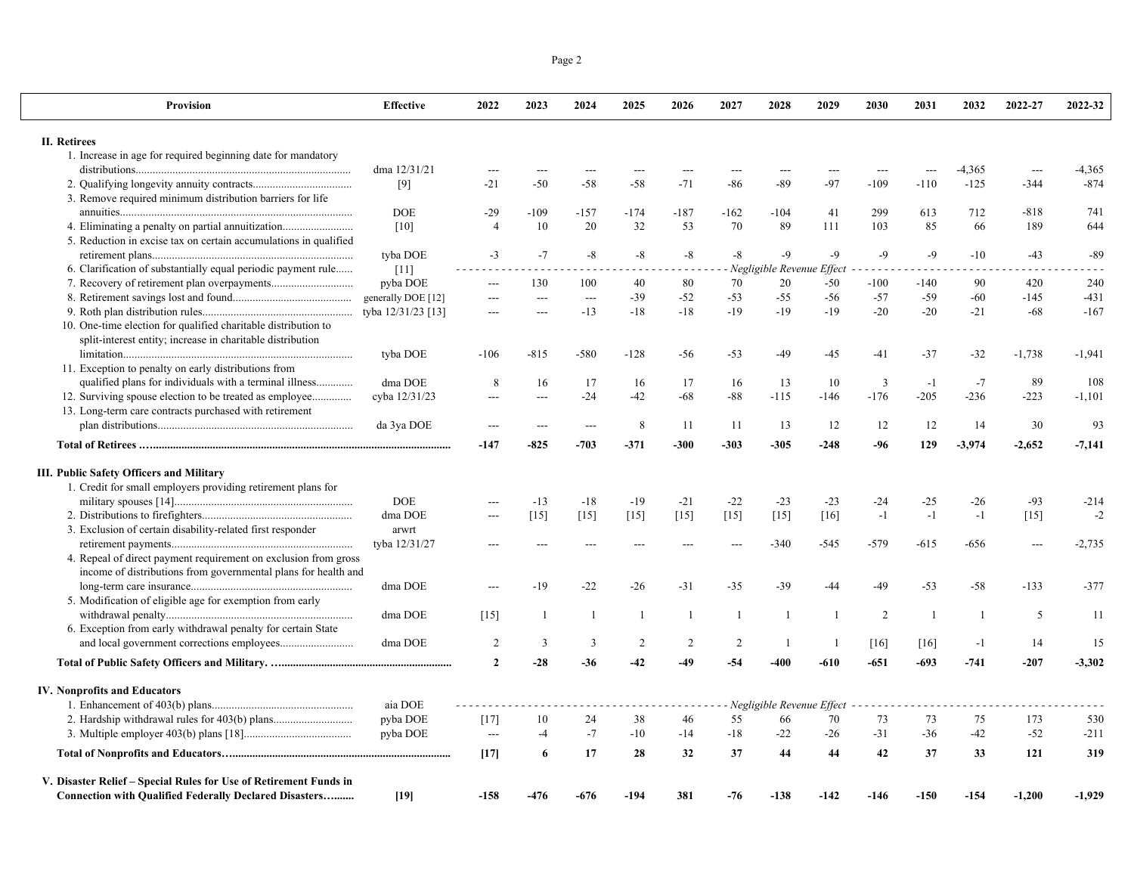| Provision                                                                                                | <b>Effective</b>   | 2022           | 2023           | 2024           | 2025           | 2026           | 2027         | 2028                              | 2029           | 2030            | 2031          | 2032           | 2022-27  | 2022-32  |
|----------------------------------------------------------------------------------------------------------|--------------------|----------------|----------------|----------------|----------------|----------------|--------------|-----------------------------------|----------------|-----------------|---------------|----------------|----------|----------|
| II. Retirees                                                                                             |                    |                |                |                |                |                |              |                                   |                |                 |               |                |          |          |
| 1. Increase in age for required beginning date for mandatory                                             |                    |                |                |                |                |                |              |                                   |                |                 |               |                |          |          |
|                                                                                                          | dma 12/31/21       |                |                | $\overline{a}$ |                |                |              | ---                               |                | $---$           | $---$         | -4,365         |          | -4,365   |
|                                                                                                          | $[9]$              | $-21$          | $-50$          | $-58$          | $-58$          | $-71$          | -86          | $-89$                             | $-97$          | $-109$          | $-110$        | $-125$         | $-344$   | $-874$   |
| 3. Remove required minimum distribution barriers for life                                                |                    |                |                |                |                |                |              |                                   |                |                 |               |                |          |          |
|                                                                                                          | <b>DOE</b>         | $-29$          | $-109$         | $-157$         | $-174$         | $-187$         | $-162$       | $-104$                            | 41             | 299             | 613           | 712            | $-818$   | 741      |
| 4. Eliminating a penalty on partial annuitization                                                        | [10]               | $\overline{4}$ | 10             | 20             | 32             | 53             | 70           | 89                                | 111            | 103             | 85            | 66             | 189      | 644      |
| 5. Reduction in excise tax on certain accumulations in qualified                                         |                    |                |                |                |                |                |              |                                   |                |                 |               |                |          |          |
| 6. Clarification of substantially equal periodic payment rule                                            | tyba DOE           | $-3$           | $-7$           | $-8$           | $-8$           | $-8$           | $-8$         | $-9$<br>Negligible Revenue Effect | $-9$           | $-9$<br>$- - -$ | $-9$<br>$  -$ | $-10$          | $-43$    | $-89$    |
| 7. Recovery of retirement plan overpayments                                                              | $[11]$<br>pyba DOE | ---            | 130            | 100            | 40             | 80             | 70           | 20                                | $-50$          | $-100$          | -140          | 90             | 420      | 240      |
|                                                                                                          |                    | $\overline{a}$ | $\overline{a}$ | $\overline{a}$ | $-39$          | $-52$          | $-53$        | $-55$                             | -56            | $-57$           | $-59$         | $-60$          | $-145$   | $-431$   |
|                                                                                                          |                    | $\overline{a}$ | $---$          | $-13$          | $-18$          | $-18$          | $-19$        | $-19$                             | $-19$          | $-20$           | $-20$         | $-21$          | $-68$    | $-167$   |
| 10. One-time election for qualified charitable distribution to                                           |                    |                |                |                |                |                |              |                                   |                |                 |               |                |          |          |
| split-interest entity; increase in charitable distribution                                               |                    |                |                |                |                |                |              |                                   |                |                 |               |                |          |          |
|                                                                                                          | tyba DOE           | $-106$         | $-815$         | $-580$         | $-128$         | -56            | $-53$        | -49                               | $-45$          | -41             | $-37$         | $-32$          | $-1,738$ | $-1,941$ |
| 11. Exception to penalty on early distributions from                                                     |                    |                |                |                |                |                |              |                                   |                |                 |               |                |          |          |
| qualified plans for individuals with a terminal illness                                                  | dma DOE            | 8              | 16             | 17             | 16             | 17             | 16           | 13                                | 10             | 3               | $-1$          | $-7$           | 89       | 108      |
| 12. Surviving spouse election to be treated as employee                                                  | cyba 12/31/23      | $\overline{a}$ | $---$          | $-24$          | $-42$          | $-68$          | $-88$        | $-115$                            | $-146$         | $-176$          | $-205$        | $-236$         | $-223$   | $-1,101$ |
| 13. Long-term care contracts purchased with retirement                                                   |                    |                |                |                |                |                |              |                                   |                |                 |               |                |          |          |
|                                                                                                          | da 3ya DOE         | $---$          |                | $\overline{a}$ | $\,$ 8 $\,$    | -11            | 11           | 13                                | 12             | 12              | 12            | 14             | 30       | 93       |
|                                                                                                          |                    | $-147$         | $-825$         | $-703$         | $-371$         | $-300$         | $-303$       | $-305$                            | $-248$         | -96             | 129           | $-3.974$       | $-2,652$ | $-7,141$ |
|                                                                                                          |                    |                |                |                |                |                |              |                                   |                |                 |               |                |          |          |
| III. Public Safety Officers and Military<br>1. Credit for small employers providing retirement plans for |                    |                |                |                |                |                |              |                                   |                |                 |               |                |          |          |
|                                                                                                          | DOE.               |                | $-13$          | $-18$          | $-19$          | $-21$          | $-22$        | $-23$                             | $-23$          | -24             | $-25$         | $-26$          | $-93$    | $-214$   |
|                                                                                                          | dma DOE            | $\sim$         | $[15]$         | $[15]$         | $[15]$         | $[15]$         | $[15]$       | $[15]$                            | [16]           | $-1$            | $-1$          | $-1$           | $[15]$   | $-2$     |
| 3. Exclusion of certain disability-related first responder                                               | arwrt              |                |                |                |                |                |              |                                   |                |                 |               |                |          |          |
|                                                                                                          | tyba 12/31/27      |                |                |                |                |                |              | $-340$                            | $-545$         | $-579$          | $-615$        | -656           | $---$    | $-2,735$ |
| 4. Repeal of direct payment requirement on exclusion from gross                                          |                    |                |                |                |                |                |              |                                   |                |                 |               |                |          |          |
| income of distributions from governmental plans for health and                                           |                    |                |                |                |                |                |              |                                   |                |                 |               |                |          |          |
|                                                                                                          | dma DOE            |                | $-19$          | $-22$          | -26            | $-31$          | $-35$        | $-39$                             | -44            | -49             | $-53$         | -58            | $-133$   | $-377$   |
| 5. Modification of eligible age for exemption from early                                                 |                    |                |                |                |                |                |              |                                   |                |                 |               |                |          |          |
|                                                                                                          | dma DOE            | [15]           | $\overline{1}$ | $\overline{1}$ | $\overline{1}$ | $\overline{1}$ | $\mathbf{1}$ | $\overline{1}$                    | $\overline{1}$ | 2               | -1            | $\overline{1}$ | 5        | 11       |
| 6. Exception from early withdrawal penalty for certain State                                             |                    |                |                |                |                |                |              |                                   |                |                 |               |                |          |          |
|                                                                                                          | dma DOE            | $\overline{2}$ | 3              | 3              | 2              | $\overline{2}$ | 2            | $\overline{1}$                    |                | [16]            | $[16]$        | $-1$           | 14       | 15       |
|                                                                                                          |                    | $\overline{2}$ | $-28$          | $-36$          | $-42$          | -49            | $-54$        | -400                              | $-610$         | $-651$          | $-693$        | $-741$         | $-207$   | $-3,302$ |
| <b>IV. Nonprofits and Educators</b>                                                                      |                    |                |                |                |                |                |              |                                   |                |                 |               |                |          |          |
|                                                                                                          | aia DOE            |                |                |                |                |                |              | Negligible Revenue Effect         |                |                 |               |                |          |          |
|                                                                                                          | pyba DOE           | $[17]$         | 10             | 24             | 38             | 46             | 55           | 66                                | 70             | 73              | 73            | 75             | 173      | 530      |
|                                                                                                          | pyba DOE           | $\overline{a}$ | $-4$           | $-7$           | $-10$          | $-14$          | $-18$        | $-22$                             | $-26$          | $-31$           | $-36$         | $-42$          | $-52$    | $-211$   |
|                                                                                                          |                    | $[17]$         | 6              | 17             | 28             | 32             | 37           | 44                                | 44             | 42              | 37            | 33             | 121      | 319      |
| V. Disaster Relief – Special Rules for Use of Retirement Funds in                                        |                    |                |                |                |                |                |              |                                   |                |                 |               |                |          |          |

1,929 - 1,200 -1,929 - 1,200 -1,929 - 1,200 - 158 - 476 - 676 - 194 - 381 - 76 - 138 - 142 - 146 - 150 - 154 - 1,200

Page 2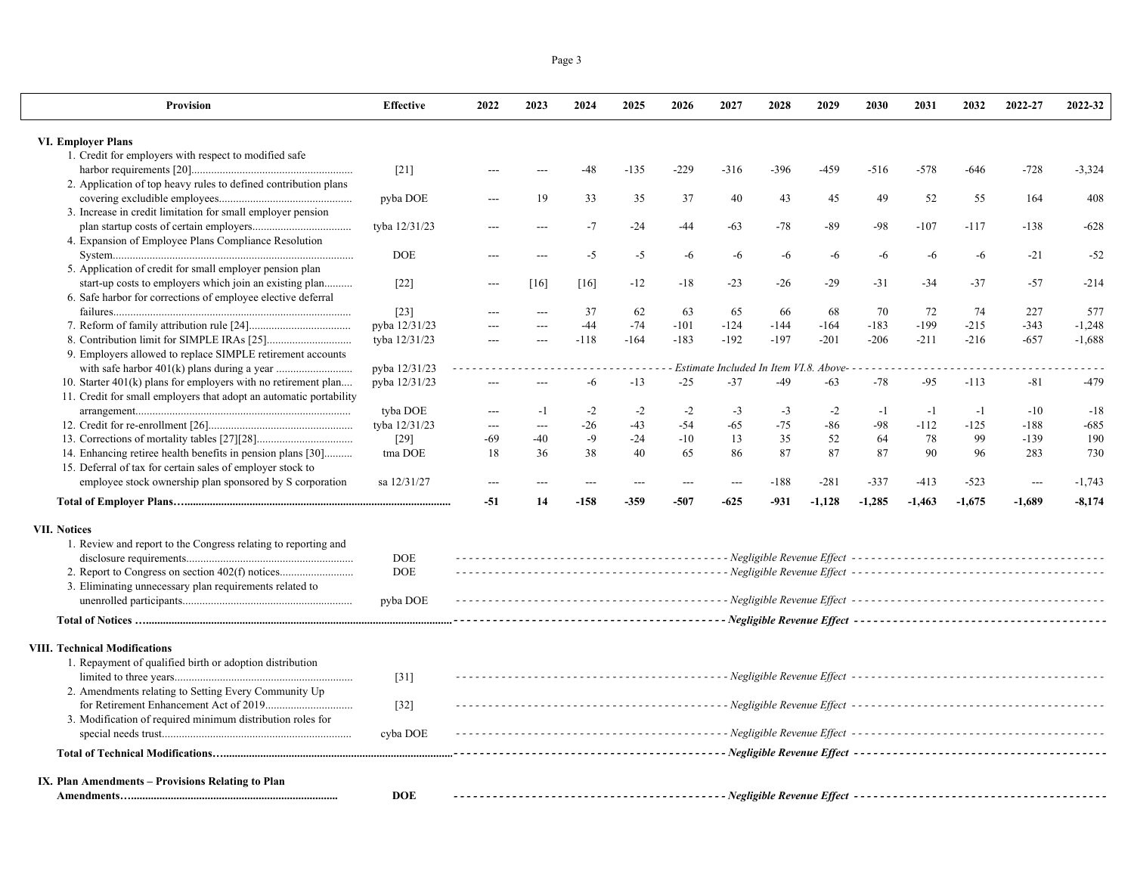|--|

| Provision                                                          | <b>Effective</b> | 2022           | 2023           | 2024   | 2025   | 2026   | 2027                                   | 2028   | 2029     | 2030     | 2031     | 2032     | 2022-27                  | 2022-32  |
|--------------------------------------------------------------------|------------------|----------------|----------------|--------|--------|--------|----------------------------------------|--------|----------|----------|----------|----------|--------------------------|----------|
| <b>VI. Employer Plans</b>                                          |                  |                |                |        |        |        |                                        |        |          |          |          |          |                          |          |
| 1. Credit for employers with respect to modified safe              |                  |                |                |        |        |        |                                        |        |          |          |          |          |                          |          |
|                                                                    | $[21]$           |                |                | $-48$  | $-135$ | $-229$ | $-316$                                 | $-396$ | $-459$   | $-516$   | $-578$   | -646     | $-728$                   | $-3,324$ |
| 2. Application of top heavy rules to defined contribution plans    |                  |                |                |        |        |        |                                        |        |          |          |          |          |                          |          |
|                                                                    | pyba DOE         |                | 19             | 33     | 35     | 37     | 40                                     | 43     | 45       | 49       | 52       | 55       | 164                      | 408      |
| 3. Increase in credit limitation for small employer pension        |                  |                |                |        |        |        |                                        |        |          |          |          |          |                          |          |
|                                                                    | tyba 12/31/23    |                | $---$          | $-7$   | $-24$  | -44    | $-63$                                  | $-78$  | $-89$    | -98      | $-107$   | $-117$   | $-138$                   | $-628$   |
| 4. Expansion of Employee Plans Compliance Resolution               |                  |                |                |        |        |        |                                        |        |          |          |          |          |                          |          |
|                                                                    | <b>DOE</b>       |                |                | $-5$   | $-5$   | $-6$   | $-6$                                   | $-6$   | -6       | -6       | $-6$     | $-6$     | $-21$                    | $-52$    |
| 5. Application of credit for small employer pension plan           |                  |                |                |        |        |        |                                        |        |          |          |          |          |                          |          |
| start-up costs to employers which join an existing plan            | $[22]$           | ---            | [16]           | [16]   | $-12$  | $-18$  | $-23$                                  | $-26$  | $-29$    | $-31$    | $-34$    | $-37$    | $-57$                    | $-214$   |
| 6. Safe harbor for corrections of employee elective deferral       |                  |                |                |        |        |        |                                        |        |          |          |          |          |                          |          |
|                                                                    | $[23]$           |                |                | 37     | 62     | 63     | 65                                     | 66     | 68       | 70       | 72       | 74       | 227                      | 577      |
|                                                                    | pyba 12/31/23    |                |                | $-44$  | $-74$  | $-101$ | $-124$                                 | $-144$ | $-164$   | $-183$   | $-199$   | $-215$   | $-343$                   | $-1,248$ |
|                                                                    | tyba 12/31/23    | $\overline{a}$ | $\overline{a}$ | $-118$ | $-164$ | $-183$ | $-192$                                 | $-197$ | $-201$   | $-206$   | $-211$   | $-216$   | $-657$                   | $-1,688$ |
| 9. Employers allowed to replace SIMPLE retirement accounts         |                  |                |                |        |        |        |                                        |        |          |          |          |          |                          |          |
|                                                                    | pyba 12/31/23    |                |                |        |        |        | Estimate Included In Item VI.8. Above- |        |          |          |          |          |                          |          |
| 10. Starter $401(k)$ plans for employers with no retirement plan   | pyba 12/31/23    | $\overline{a}$ |                | $-6$   | $-13$  | $-25$  | $-37$                                  | $-49$  | $-63$    | $-78$    | $-95$    | $-113$   | $-81$                    | $-479$   |
| 11. Credit for small employers that adopt an automatic portability |                  |                |                |        |        |        |                                        |        |          |          |          |          |                          |          |
|                                                                    | tyba DOE         | $---$          | $-1$           | $-2$   | $-2$   | $-2$   | $-3$                                   | $-3$   | $-2$     | $-1$     | $-1$     | $-1$     | $-10$                    | $-18$    |
|                                                                    | tyba 12/31/23    | $---$          |                | $-26$  | $-43$  | $-54$  | $-65$                                  | $-75$  | $-86$    | -98      | $-112$   | $-125$   | $-188$                   | $-685$   |
|                                                                    | $[29]$           | $-69$          | $-40$          | $-9$   | $-24$  | $-10$  | 13                                     | 35     | 52       | 64       | 78       | 99       | $-139$                   | 190      |
| 14. Enhancing retiree health benefits in pension plans [30]        | tma DOE          | 18             | 36             | 38     | 40     | 65     | 86                                     | 87     | 87       | 87       | 90       | 96       | 283                      | 730      |
| 15. Deferral of tax for certain sales of employer stock to         |                  |                |                |        |        |        |                                        |        |          |          |          |          |                          |          |
| employee stock ownership plan sponsored by S corporation           | sa 12/31/27      | ---            | $---$          | ---    | $---$  | ---    | $\overline{a}$                         | $-188$ | $-281$   | $-337$   | $-413$   | $-523$   | $\overline{\phantom{a}}$ | $-1,743$ |
|                                                                    |                  | $-51$          | 14             | $-158$ | $-359$ | $-507$ | $-625$                                 | $-931$ | $-1,128$ | $-1,285$ | $-1,463$ | $-1,675$ | $-1,689$                 | $-8,174$ |
| <b>VII. Notices</b>                                                |                  |                |                |        |        |        |                                        |        |          |          |          |          |                          |          |
| 1. Review and report to the Congress relating to reporting and     |                  |                |                |        |        |        |                                        |        |          |          |          |          |                          |          |
|                                                                    | <b>DOE</b>       |                |                |        |        |        |                                        |        |          |          |          |          |                          |          |
|                                                                    | <b>DOE</b>       |                |                |        |        |        |                                        |        |          |          |          |          |                          |          |
| 3. Eliminating unnecessary plan requirements related to            |                  |                |                |        |        |        |                                        |        |          |          |          |          |                          |          |
|                                                                    | pyba DOE         |                |                |        |        |        |                                        |        |          |          |          |          |                          |          |
|                                                                    |                  |                |                |        |        |        |                                        |        |          |          |          |          |                          |          |
|                                                                    |                  |                |                |        |        |        |                                        |        |          |          |          |          |                          |          |
| <b>VIII. Technical Modifications</b>                               |                  |                |                |        |        |        |                                        |        |          |          |          |          |                          |          |
| 1. Repayment of qualified birth or adoption distribution           |                  |                |                |        |        |        |                                        |        |          |          |          |          |                          |          |
|                                                                    | $[31]$           |                |                |        |        |        |                                        |        |          |          |          |          |                          |          |
| 2. Amendments relating to Setting Every Community Up               |                  |                |                |        |        |        |                                        |        |          |          |          |          |                          |          |
|                                                                    | $[32]$           |                |                |        |        |        |                                        |        |          |          |          |          |                          |          |
| 3. Modification of required minimum distribution roles for         |                  |                |                |        |        |        |                                        |        |          |          |          |          |                          |          |
|                                                                    | cyba DOE         |                |                |        |        |        |                                        |        |          |          |          |          |                          |          |
|                                                                    |                  |                |                |        |        |        |                                        |        |          |          |          |          |                          |          |
| IX. Plan Amendments – Provisions Relating to Plan                  |                  |                |                |        |        |        |                                        |        |          |          |          |          |                          |          |
|                                                                    | <b>DOE</b>       |                |                |        |        |        |                                        |        |          |          |          |          |                          |          |
|                                                                    |                  |                |                |        |        |        |                                        |        |          |          |          |          |                          |          |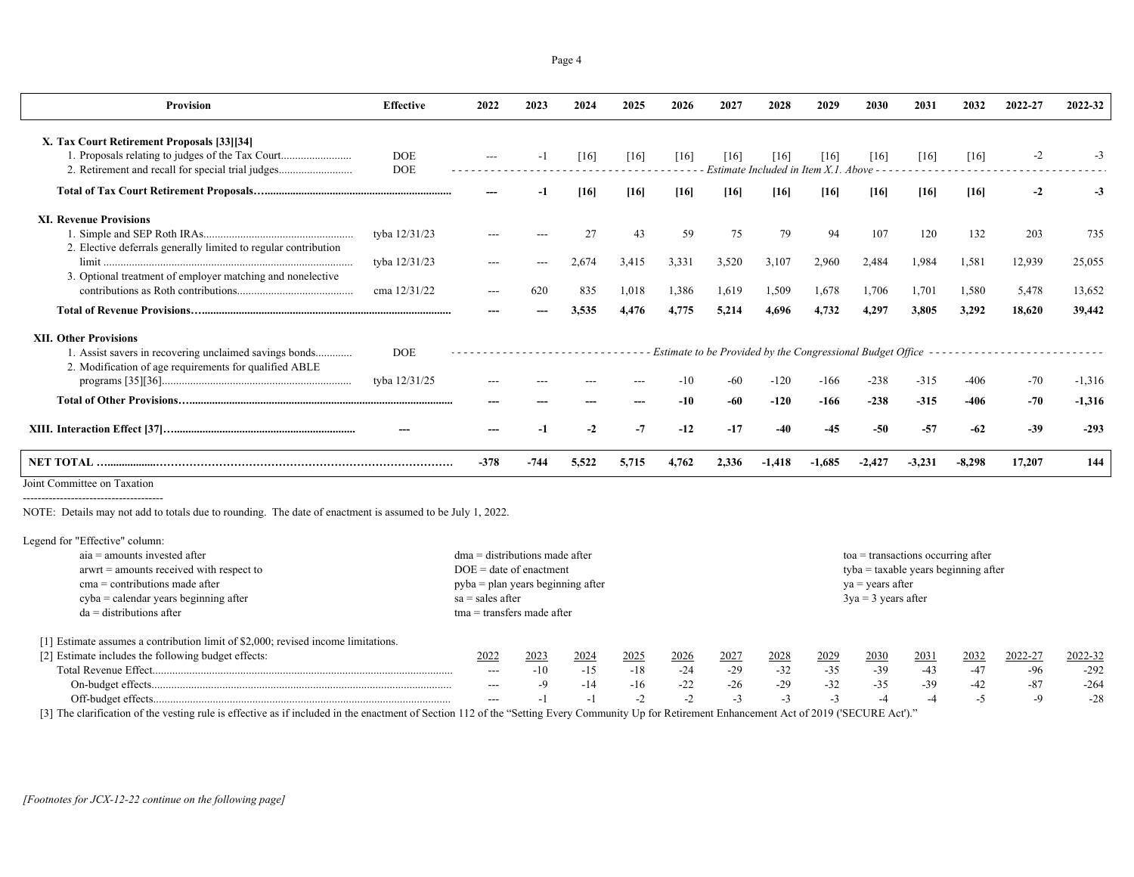| Provision                                                                                                                                           | <b>Effective</b>            | 2022   | 2023 | 2024  | 2025  | 2026  | 2027   | 2028                                                                 | 2029   | 2030   | 2031     | 2032   | 2022-27 | 2022-32  |
|-----------------------------------------------------------------------------------------------------------------------------------------------------|-----------------------------|--------|------|-------|-------|-------|--------|----------------------------------------------------------------------|--------|--------|----------|--------|---------|----------|
| X. Tax Court Retirement Proposals [33][34]<br>1. Proposals relating to judges of the Tax Court<br>2. Retirement and recall for special trial judges | <b>DOE</b><br><b>DOE</b>    |        |      | [16]  | [16]  | [16]  | 1161   | [16]<br>Estimate Included in Item X.1. Above - -                     | [16]   | [16]   | [16]     | [16]   |         |          |
|                                                                                                                                                     |                             |        |      | [16]  | [16]  | [16]  | $[16]$ | [16]                                                                 | [16]   | $[16]$ | [16]     | [16]   |         |          |
| <b>XI. Revenue Provisions</b><br>2. Elective deferrals generally limited to regular contribution                                                    | tyba 12/31/23               |        |      |       | 43    | 59    | 75     | 79                                                                   | 94     | 107    | 120      | 132    | 203     | 735      |
|                                                                                                                                                     | tyba 12/31/23               |        |      | 2.674 | 3.415 | 3,331 | 3,520  | 3,107                                                                | 2.960  | 2,484  | 1,984    | 1,581  | 12,939  | 25,055   |
| 3. Optional treatment of employer matching and nonelective                                                                                          | cma 12/31/22                |        | 620  | 835   | 1,018 | 1.386 | 1.619  | 1,509                                                                | 1,678  | 1,706  | 1,701    | 1.580  | 5.478   | 13,652   |
|                                                                                                                                                     |                             |        |      | 3.535 | 4.476 | 4.775 | 5,214  | 4.696                                                                | 4.732  | 4.297  | 3.805    | 3.292  | 18,620  | 39,442   |
| <b>XII. Other Provisions</b><br>1. Assist savers in recovering unclaimed savings bonds<br>2. Modification of age requirements for qualified ABLE    | <b>DOE</b><br>tyba 12/31/25 |        |      |       |       |       |        | Estimate to be Provided by the Congressional Budget Office<br>$-120$ | -166   | $-238$ | $-315$   | $-406$ | $-70$   | $-1,316$ |
|                                                                                                                                                     |                             |        |      |       |       | -10   | -60    | $-120$                                                               | $-166$ | $-238$ | $-315$   | $-406$ | $-70$   | $-1.316$ |
|                                                                                                                                                     |                             |        |      |       | $-7$  | $-12$ | -17    | -40                                                                  | -45    |        | $-57$    | -62    | $-39$   | $-293$   |
|                                                                                                                                                     |                             | $-378$ | -744 | 5,522 | 5.715 | 4.762 | 2.336  |                                                                      |        |        | $-3,231$ | -8.298 | 17,207  | 144      |

Joint Committee on Taxation

NOTE: Details may not add to totals due to rounding. The date of enactment is assumed to be July 1, 2022.

## Legend for "Effective" column:

| $aia =$ amounts invested after                                                    | $dma =$ distributions made after            |       |       |                       |       |       |       |                           | $toa$ = transactions occurring after    |       |       |         |         |  |  |  |
|-----------------------------------------------------------------------------------|---------------------------------------------|-------|-------|-----------------------|-------|-------|-------|---------------------------|-----------------------------------------|-------|-------|---------|---------|--|--|--|
| $arwt =$ amounts received with respect to                                         | $DOE = date of enactment$                   |       |       |                       |       |       |       |                           | $t$ yba = taxable years beginning after |       |       |         |         |  |  |  |
| $cma =$ contributions made after                                                  | $pyba = plan \text{ years beginning after}$ |       |       |                       |       |       |       | $ya = \text{years after}$ |                                         |       |       |         |         |  |  |  |
| $cyba = calendar \, years \, beginning \, after$                                  | $sa = sales after$                          |       |       | $3ya = 3 years$ after |       |       |       |                           |                                         |       |       |         |         |  |  |  |
| $da =$ distributions after                                                        | $tma = transfers made after$                |       |       |                       |       |       |       |                           |                                         |       |       |         |         |  |  |  |
| [1] Estimate assumes a contribution limit of \$2,000; revised income limitations. |                                             |       |       |                       |       |       |       |                           |                                         |       |       |         |         |  |  |  |
| [2] Estimate includes the following budget effects:                               | 2022                                        | 2023  | 2024  | 2025                  | 2026  | 2027  | 2028  | 2029                      | 2030                                    | 2031  | 2032  | 2022-27 | 2022-32 |  |  |  |
|                                                                                   | $---$                                       | $-10$ | $-15$ | $-18$                 | $-24$ | $-29$ | $-32$ | $-35$                     | $-39$                                   | -43   | $-47$ | -96     | $-292$  |  |  |  |
|                                                                                   | $---$                                       |       | $-14$ | $-16$                 | $-22$ | $-26$ | $-29$ | $-32$                     | $-35$                                   | $-39$ | $-42$ | $-87$   | $-264$  |  |  |  |
|                                                                                   | $---$                                       |       | - 1   | $-2$                  | $-Z$  | $-1$  | -3    | $-1$                      |                                         | -4    | - -   | $-9$    | $-28$   |  |  |  |

[3] The clarification of the vesting rule is effective as if included in the enactment of Section 112 of the "Setting Every Community Up for Retirement Enhancement Act of 2019 ('SECURE Act')."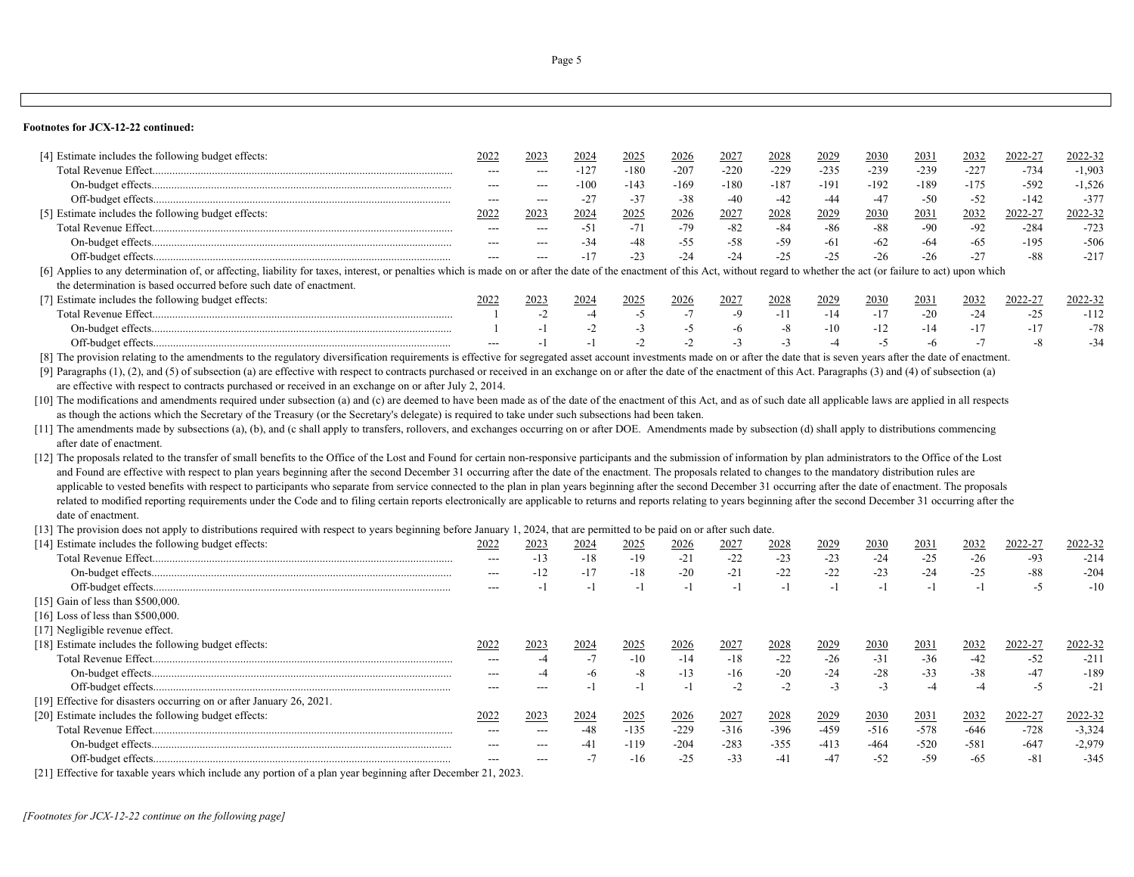### **Footnotes for JCX-12-22 continued:**

[21] Effective for taxable years which include any portion of a plan year beginning after December 21, 2023.